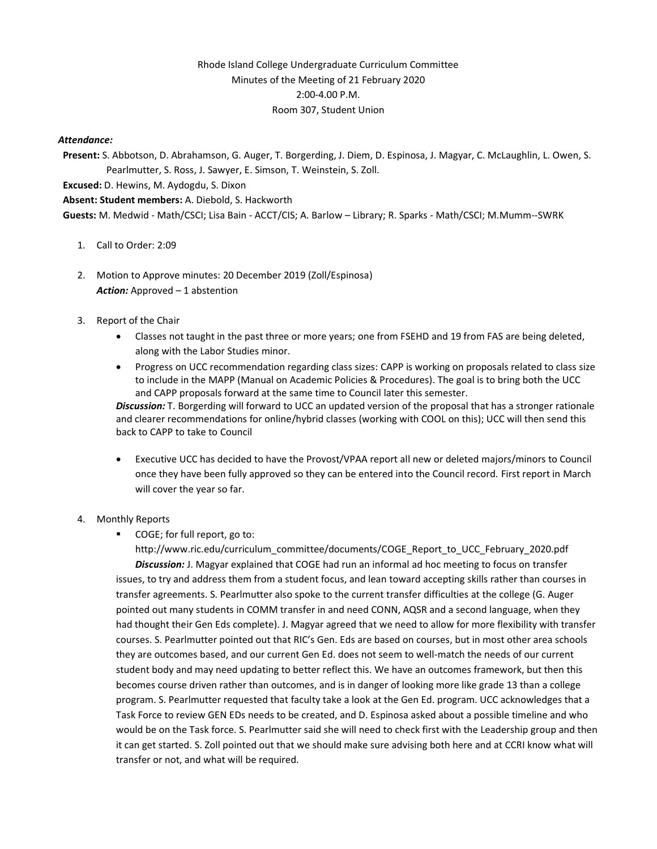# Rhode Island College Undergraduate Curriculum Committee Minutes of the Meeting of 21 February 2020 2:00-4.00 P.M. Room 307, Student Union

#### *Attendance:*

**Present:** S. Abbotson, D. Abrahamson, G. Auger, T. Borgerding, J. Diem, D. Espinosa, J. Magyar, C. McLaughlin, L. Owen, S. Pearlmutter, S. Ross, J. Sawyer, E. Simson, T. Weinstein, S. Zoll.

**Excused:** D. Hewins, M. Aydogdu, S. Dixon

**Absent: Student members:** A. Diebold, S. Hackworth

**Guests:** M. Medwid - Math/CSCI; Lisa Bain - ACCT/CIS; A. Barlow – Library; R. Sparks - Math/CSCI; M.Mumm--SWRK

- 1. Call to Order: 2:09
- 2. Motion to Approve minutes: 20 December 2019 (Zoll/Espinosa) *Action:* Approved – 1 abstention
- 3. Report of the Chair
	- Classes not taught in the past three or more years; one from FSEHD and 19 from FAS are being deleted, along with the Labor Studies minor.
	- Progress on UCC recommendation regarding class sizes: CAPP is working on proposals related to class size to include in the MAPP (Manual on Academic Policies & Procedures). The goal is to bring both the UCC and CAPP proposals forward at the same time to Council later this semester.

*Discussion:* T. Borgerding will forward to UCC an updated version of the proposal that has a stronger rationale and clearer recommendations for online/hybrid classes (working with COOL on this); UCC will then send this back to CAPP to take to Council

• Executive UCC has decided to have the Provost/VPAA report all new or deleted majors/minors to Council once they have been fully approved so they can be entered into the Council record. First report in March will cover the year so far.

### 4. Monthly Reports

■ COGE; for full report, go to:

http://www.ric.edu/curriculum\_committee/documents/COGE\_Report\_to\_UCC\_February\_2020.pdf *Discussion:* J. Magyar explained that COGE had run an informal ad hoc meeting to focus on transfer issues, to try and address them from a student focus, and lean toward accepting skills rather than courses in transfer agreements. S. Pearlmutter also spoke to the current transfer difficulties at the college (G. Auger pointed out many students in COMM transfer in and need CONN, AQSR and a second language, when they had thought their Gen Eds complete). J. Magyar agreed that we need to allow for more flexibility with transfer courses. S. Pearlmutter pointed out that RIC's Gen. Eds are based on courses, but in most other area schools they are outcomes based, and our current Gen Ed. does not seem to well-match the needs of our current student body and may need updating to better reflect this. We have an outcomes framework, but then this becomes course driven rather than outcomes, and is in danger of looking more like grade 13 than a college program. S. Pearlmutter requested that faculty take a look at the Gen Ed. program. UCC acknowledges that a Task Force to review GEN EDs needs to be created, and D. Espinosa asked about a possible timeline and who would be on the Task force. S. Pearlmutter said she will need to check first with the Leadership group and then it can get started. S. Zoll pointed out that we should make sure advising both here and at CCRI know what will transfer or not, and what will be required.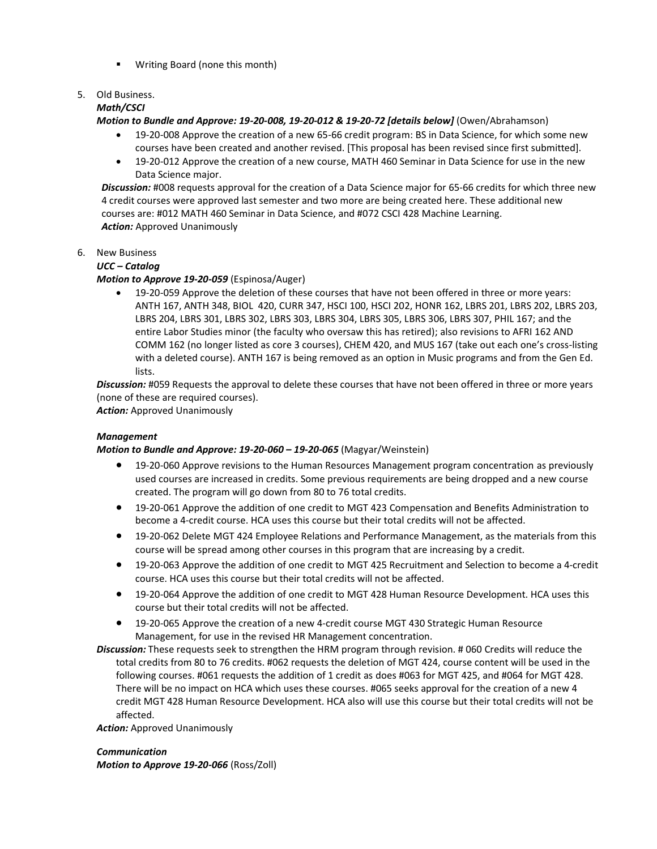■ Writing Board (none this month)

# 5. Old Business.

# *Math/CSCI*

*Motion to Bundle and Approve: 19-20-008, 19-20-012 & 19-20-72 [details below]* (Owen/Abrahamson)

- 19-20-008 Approve the creation of a new 65-66 credit program: BS in Data Science, for which some new courses have been created and another revised. [This proposal has been revised since first submitted].
- 19-20-012 Approve the creation of a new course, MATH 460 Seminar in Data Science for use in the new Data Science major.

*Discussion:* #008 requests approval for the creation of a Data Science major for 65-66 credits for which three new 4 credit courses were approved last semester and two more are being created here. These additional new courses are: #012 MATH 460 Seminar in Data Science, and #072 CSCI 428 Machine Learning. *Action:* Approved Unanimously

# 6. New Business

### *UCC – Catalog*

# *Motion to Approve 19-20-059* (Espinosa/Auger)

• 19-20-059 Approve the deletion of these courses that have not been offered in three or more years: ANTH 167, ANTH 348, BIOL 420, CURR 347, HSCI 100, HSCI 202, HONR 162, LBRS 201, LBRS 202, LBRS 203, LBRS 204, LBRS 301, LBRS 302, LBRS 303, LBRS 304, LBRS 305, LBRS 306, LBRS 307, PHIL 167; and the entire Labor Studies minor (the faculty who oversaw this has retired); also revisions to AFRI 162 AND COMM 162 (no longer listed as core 3 courses), CHEM 420, and MUS 167 (take out each one's cross-listing with a deleted course). ANTH 167 is being removed as an option in Music programs and from the Gen Ed. lists.

*Discussion:* #059 Requests the approval to delete these courses that have not been offered in three or more years (none of these are required courses).

*Action:* Approved Unanimously

### *Management*

### *Motion to Bundle and Approve: 19-20-060 – 19-20-065* (Magyar/Weinstein)

- 19-20-060 Approve revisions to the Human Resources Management program concentration as previously used courses are increased in credits. Some previous requirements are being dropped and a new course created. The program will go down from 80 to 76 total credits.
- 19-20-061 Approve the addition of one credit to MGT 423 Compensation and Benefits Administration to become a 4-credit course. HCA uses this course but their total credits will not be affected.
- 19-20-062 Delete MGT 424 Employee Relations and Performance Management, as the materials from this course will be spread among other courses in this program that are increasing by a credit.
- 19-20-063 Approve the addition of one credit to MGT 425 Recruitment and Selection to become a 4-credit course. HCA uses this course but their total credits will not be affected.
- 19-20-064 Approve the addition of one credit to MGT 428 Human Resource Development. HCA uses this course but their total credits will not be affected.
- 19-20-065 Approve the creation of a new 4-credit course MGT 430 Strategic Human Resource Management, for use in the revised HR Management concentration.
- *Discussion:* These requests seek to strengthen the HRM program through revision. # 060 Credits will reduce the total credits from 80 to 76 credits. #062 requests the deletion of MGT 424, course content will be used in the following courses. #061 requests the addition of 1 credit as does #063 for MGT 425, and #064 for MGT 428. There will be no impact on HCA which uses these courses. #065 seeks approval for the creation of a new 4 credit MGT 428 Human Resource Development. HCA also will use this course but their total credits will not be affected.

*Action:* Approved Unanimously

### *Communication*

*Motion to Approve 19-20-066* (Ross/Zoll)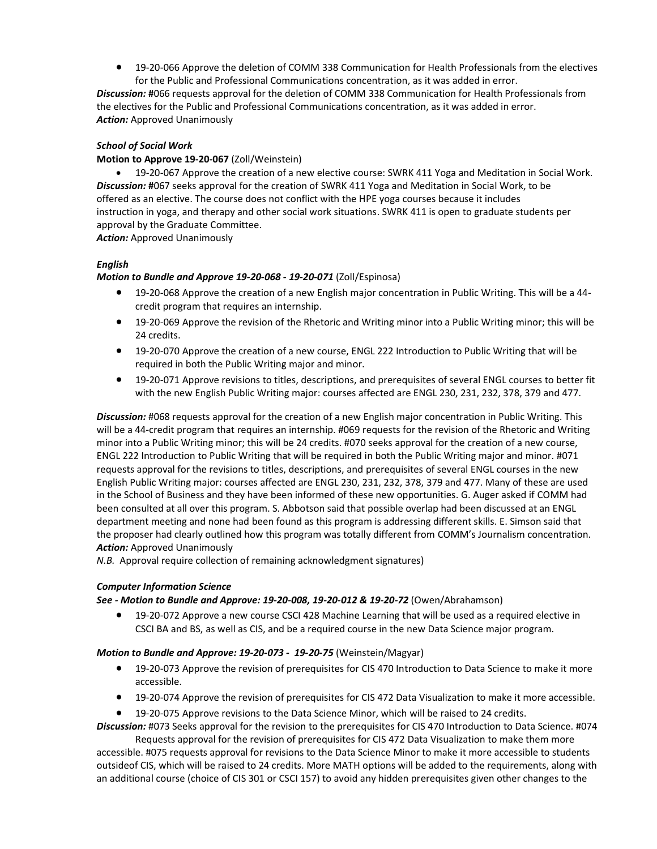• 19-20-066 Approve the deletion of COMM 338 Communication for Health Professionals from the electives for the Public and Professional Communications concentration, as it was added in error.

*Discussion:* **#**066 requests approval for the deletion of COMM 338 Communication for Health Professionals from the electives for the Public and Professional Communications concentration, as it was added in error. *Action:* Approved Unanimously

# *School of Social Work*

#### **Motion to Approve 19-20-067** (Zoll/Weinstein)

• 19-20-067 Approve the creation of a new elective course: SWRK 411 Yoga and Meditation in Social Work. *Discussion:* **#**067 seeks approval for the creation of SWRK 411 Yoga and Meditation in Social Work, to be offered as an elective. The course does not conflict with the HPE yoga courses because it includes instruction in yoga, and therapy and other social work situations. SWRK 411 is open to graduate students per approval by the Graduate Committee.

*Action:* Approved Unanimously

# *English*

### *Motion to Bundle and Approve 19-20-068 - 19-20-071* (Zoll/Espinosa)

- 19-20-068 Approve the creation of a new English major concentration in Public Writing. This will be a 44 credit program that requires an internship.
- 19-20-069 Approve the revision of the Rhetoric and Writing minor into a Public Writing minor; this will be 24 credits.
- 19-20-070 Approve the creation of a new course, ENGL 222 Introduction to Public Writing that will be required in both the Public Writing major and minor.
- 19-20-071 Approve revisions to titles, descriptions, and prerequisites of several ENGL courses to better fit with the new English Public Writing major: courses affected are ENGL 230, 231, 232, 378, 379 and 477.

*Discussion:* #068 requests approval for the creation of a new English major concentration in Public Writing. This will be a 44-credit program that requires an internship. #069 requests for the revision of the Rhetoric and Writing minor into a Public Writing minor; this will be 24 credits. #070 seeks approval for the creation of a new course, ENGL 222 Introduction to Public Writing that will be required in both the Public Writing major and minor. #071 requests approval for the revisions to titles, descriptions, and prerequisites of several ENGL courses in the new English Public Writing major: courses affected are ENGL 230, 231, 232, 378, 379 and 477. Many of these are used in the School of Business and they have been informed of these new opportunities. G. Auger asked if COMM had been consulted at all over this program. S. Abbotson said that possible overlap had been discussed at an ENGL department meeting and none had been found as this program is addressing different skills. E. Simson said that the proposer had clearly outlined how this program was totally different from COMM's Journalism concentration. *Action:* Approved Unanimously

*N.B.* Approval require collection of remaining acknowledgment signatures)

### *Computer Information Science*

### *See - Motion to Bundle and Approve: 19-20-008, 19-20-012 & 19-20-72* (Owen/Abrahamson)

• 19-20-072 Approve a new course CSCI 428 Machine Learning that will be used as a required elective in CSCI BA and BS, as well as CIS, and be a required course in the new Data Science major program.

### *Motion to Bundle and Approve: 19-20-073 - 19-20-75* (Weinstein/Magyar)

- 19-20-073 Approve the revision of prerequisites for CIS 470 Introduction to Data Science to make it more accessible.
- 19-20-074 Approve the revision of prerequisites for CIS 472 Data Visualization to make it more accessible.
- 19-20-075 Approve revisions to the Data Science Minor, which will be raised to 24 credits.

*Discussion:* #073 Seeks approval for the revision to the prerequisites for CIS 470 Introduction to Data Science. #074

Requests approval for the revision of prerequisites for CIS 472 Data Visualization to make them more accessible. #075 requests approval for revisions to the Data Science Minor to make it more accessible to students outsideof CIS, which will be raised to 24 credits. More MATH options will be added to the requirements, along with an additional course (choice of CIS 301 or CSCI 157) to avoid any hidden prerequisites given other changes to the